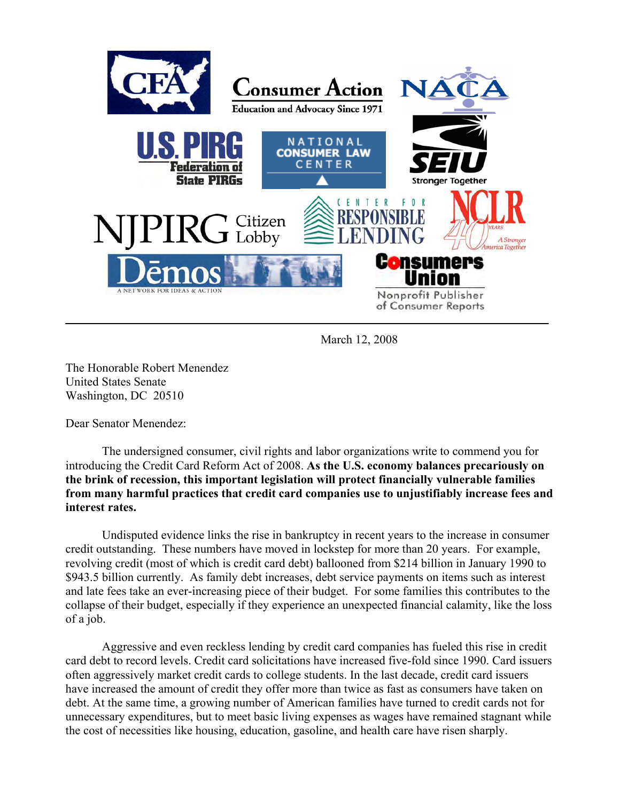

March 12, 2008

The Honorable Robert Menendez United States Senate Washington, DC 20510

Dear Senator Menendez:

The undersigned consumer, civil rights and labor organizations write to commend you for introducing the Credit Card Reform Act of 2008. **As the U.S. economy balances precariously on the brink of recession, this important legislation will protect financially vulnerable families from many harmful practices that credit card companies use to unjustifiably increase fees and interest rates.** 

Undisputed evidence links the rise in bankruptcy in recent years to the increase in consumer credit outstanding. These numbers have moved in lockstep for more than 20 years. For example, revolving credit (most of which is credit card debt) ballooned from \$214 billion in January 1990 to \$943.5 billion currently. As family debt increases, debt service payments on items such as interest and late fees take an ever-increasing piece of their budget. For some families this contributes to the collapse of their budget, especially if they experience an unexpected financial calamity, like the loss of a job.

Aggressive and even reckless lending by credit card companies has fueled this rise in credit card debt to record levels. Credit card solicitations have increased five-fold since 1990. Card issuers often aggressively market credit cards to college students. In the last decade, credit card issuers have increased the amount of credit they offer more than twice as fast as consumers have taken on debt. At the same time, a growing number of American families have turned to credit cards not for unnecessary expenditures, but to meet basic living expenses as wages have remained stagnant while the cost of necessities like housing, education, gasoline, and health care have risen sharply.